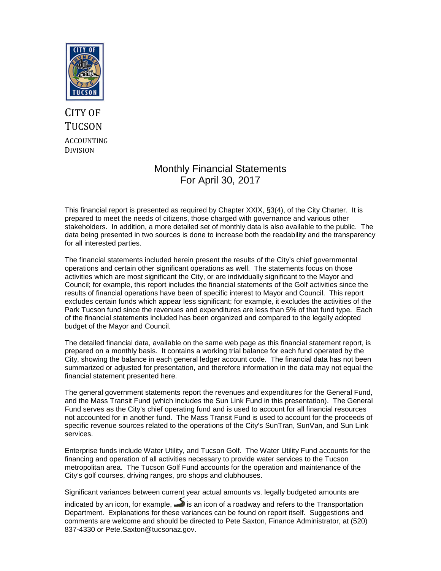

# CITY OF **TUCSON** ACCOUNTING DIVISION

# Monthly Financial Statements For April 30, 2017

This financial report is presented as required by Chapter XXIX, §3(4), of the City Charter. It is prepared to meet the needs of citizens, those charged with governance and various other stakeholders. In addition, a more detailed set of monthly data is also available to the public. The data being presented in two sources is done to increase both the readability and the transparency for all interested parties.

The financial statements included herein present the results of the City's chief governmental operations and certain other significant operations as well. The statements focus on those activities which are most significant the City, or are individually significant to the Mayor and Council; for example, this report includes the financial statements of the Golf activities since the results of financial operations have been of specific interest to Mayor and Council. This report excludes certain funds which appear less significant; for example, it excludes the activities of the Park Tucson fund since the revenues and expenditures are less than 5% of that fund type. Each of the financial statements included has been organized and compared to the legally adopted budget of the Mayor and Council.

The detailed financial data, available on the same web page as this financial statement report, is prepared on a monthly basis. It contains a working trial balance for each fund operated by the City, showing the balance in each general ledger account code. The financial data has not been summarized or adjusted for presentation, and therefore information in the data may not equal the financial statement presented here.

The general government statements report the revenues and expenditures for the General Fund, and the Mass Transit Fund (which includes the Sun Link Fund in this presentation). The General Fund serves as the City's chief operating fund and is used to account for all financial resources not accounted for in another fund. The Mass Transit Fund is used to account for the proceeds of specific revenue sources related to the operations of the City's SunTran, SunVan, and Sun Link services.

Enterprise funds include Water Utility, and Tucson Golf. The Water Utility Fund accounts for the financing and operation of all activities necessary to provide water services to the Tucson metropolitan area. The Tucson Golf Fund accounts for the operation and maintenance of the City's golf courses, driving ranges, pro shops and clubhouses.

Significant variances between current year actual amounts vs. legally budgeted amounts are

indicated by an icon, for example,  $\rightarrow$  is an icon of a roadway and refers to the Transportation Department. Explanations for these variances can be found on report itself. Suggestions and comments are welcome and should be directed to Pete Saxton, Finance Administrator, at (520) 837-4330 or Pete.Saxton@tucsonaz.gov.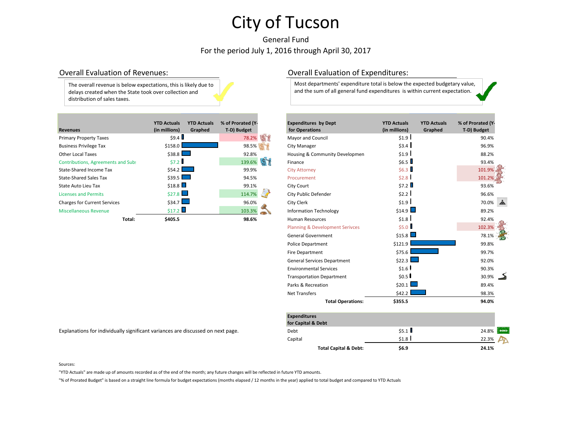# General Fund For the period July 1, 2016 through April 30, 2017

The overall revenue is below expectations, this is likely due to delays created when the State took over collection and distribution of sales taxes.

|                                           | <b>YTD Actuals</b> | <b>YTD Actuals</b> | % of Prorated (Y- | <b>Expenditures by Dept</b>    | <b>YTD Actuals</b> | <b>YTD Actuals</b> | % of Prorated (Y |
|-------------------------------------------|--------------------|--------------------|-------------------|--------------------------------|--------------------|--------------------|------------------|
| <b>Revenues</b>                           | (in millions)      | Graphed            | T-D) Budget       | for Operations                 | (in millions)      | Graphed            | T-D) Budget      |
| <b>Primary Property Taxes</b>             | \$9.4              |                    | 78.2%             | Mayor and Council              | \$1.9              |                    | 90.4%            |
| <b>Business Privilege Tax</b>             | \$158.0            |                    | 98.5%             | <b>City Manager</b>            | \$3.4              |                    | 96.9%            |
| <b>Other Local Taxes</b>                  | $$38.8$ $\Box$     |                    | 92.8%             | Housing & Community Developmen | \$1.9              |                    | 88.2%            |
| <b>Contributions, Agreements and Subs</b> | \$7.2              |                    | 139.6%            | Finance                        | \$6.5              |                    | 93.4%            |
| State-Shared Income Tax                   | $$54.2$ $\Box$     |                    | 99.9%             | <b>City Attorney</b>           | \$6.3              |                    | 101.9%           |
| <b>State-Shared Sales Tax</b>             | $$39.5$ $\Box$     |                    | 94.5%             | Procurement                    | \$2.8              |                    | 101.2%           |
| State Auto Lieu Tax                       | \$18.8             |                    | 99.1%             | City Court                     | \$7.2              |                    | 93.6%            |
| <b>Licenses and Permits</b>               | \$27.8             |                    | 114.7%            | City Public Defender           | \$2.2              |                    | 96.6%            |
| <b>Charges for Current Services</b>       | \$34.7             |                    | 96.0%             | City Clerk                     | \$1.9              |                    | 70.0%            |
| Miscellaneous Revenue                     | \$17.2             |                    | 103.3%            | <b>Information Technology</b>  | \$14.9             |                    | 89.2%            |
| Total:                                    | \$405.5            |                    | 98.6%             | <b>Human Resources</b>         | \$1.8              |                    | 92.4%            |

## Overall Evaluation of Revenues: Overall Evaluation of Expenditures:

Most departments' expenditure total is below the expected budgetary value, and the sum of all general fund expenditures is within current expectation.

|        | <b>YTD Actuals</b>                                  | <b>YTD Actuals</b> | % of Prorated (Y- | <b>Expenditures by Dept</b>                | <b>YTD Actuals</b>                 | <b>YTD Actuals</b> | % of Prorated (Y- |  |
|--------|-----------------------------------------------------|--------------------|-------------------|--------------------------------------------|------------------------------------|--------------------|-------------------|--|
|        | (in millions)                                       | Graphed            | T-D) Budget       | for Operations                             | (in millions)                      | Graphed            | T-D) Budget       |  |
|        | \$9.4                                               |                    | 78.2%             | Mayor and Council                          | \$1.9                              |                    | 90.4%             |  |
|        | \$158.0                                             |                    | 98.5%             | City Manager                               | \$3.4                              |                    | 96.9%             |  |
|        | \$38.8                                              |                    | 92.8%             | Housing & Community Developmen             | \$1.9                              |                    | 88.2%             |  |
| d Subs | \$7.2                                               |                    | 139.6%            | Finance                                    | \$6.5                              |                    | 93.4%             |  |
|        | \$54.2                                              |                    | 99.9%             | <b>City Attorney</b>                       | \$6.3                              |                    | 101.9%            |  |
|        | \$39.5                                              |                    | 94.5%             | Procurement                                | \$2.8                              |                    | 101.2%            |  |
|        | \$18.8                                              |                    | 99.1%             | City Court                                 | \$7.2                              |                    | 93.6%             |  |
|        | \$27.8                                              |                    | 114.7%            | City Public Defender                       | \$2.2                              |                    | 96.6%             |  |
|        | \$34.7                                              |                    | 96.0%             | City Clerk                                 | \$1.9                              |                    | 70.0%             |  |
|        | \$17.2                                              |                    | 103.3%            | <b>Information Technology</b>              |                                    |                    | 89.2%             |  |
| Total: | \$405.5                                             |                    | 98.6%             | <b>Human Resources</b>                     | \$1.8                              |                    | 92.4%             |  |
|        |                                                     |                    |                   | <b>Planning &amp; Development Serivces</b> | \$5.0                              |                    | 102.3%            |  |
|        |                                                     |                    |                   | <b>General Government</b>                  |                                    |                    | 78.1%             |  |
|        |                                                     |                    |                   | <b>Police Department</b>                   | \$121.9                            |                    | 99.8%             |  |
|        |                                                     |                    |                   | Fire Department                            | \$75.6                             |                    | 99.7%             |  |
|        |                                                     |                    |                   | <b>General Services Department</b>         | \$22.3                             |                    | 92.0%             |  |
|        |                                                     |                    |                   | <b>Environmental Services</b>              | \$1.6                              |                    | 90.3%             |  |
|        |                                                     |                    |                   | <b>Transportation Department</b>           | \$0.5                              |                    | 30.9%             |  |
|        |                                                     |                    |                   | Parks & Recreation                         | \$20.1                             |                    | 89.4%             |  |
|        |                                                     |                    |                   | <b>Net Transfers</b>                       | \$42.2                             |                    | 98.3%             |  |
|        |                                                     |                    |                   | <b>Total Operations:</b>                   | \$355.5                            |                    | 94.0%             |  |
|        |                                                     |                    |                   | <b>Expenditures</b>                        |                                    |                    |                   |  |
|        |                                                     |                    |                   | for Capital & Debt                         | \$14.9<br>\$15.8<br>\$5.1<br>\$1.8 |                    |                   |  |
|        | y significant variances are discussed on next page. |                    |                   | Debt                                       |                                    | 24.8%              | <b>BONE</b>       |  |
|        |                                                     |                    |                   | Capital                                    |                                    |                    | 22.3%             |  |

**Total Capital & Debt: \$6.9 24.1%**

Explanations for individually significant variances are discussed on next page.

### Sources:

"YTD Actuals" are made up of amounts recorded as of the end of the month; any future changes will be reflected in future YTD amounts.

"% of Prorated Budget" is based on a straight line formula for budget expectations (months elapsed / 12 months in the year) applied to total budget and compared to YTD Actuals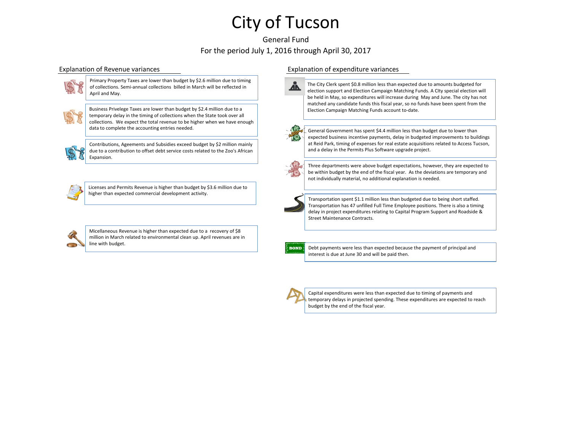## General Fund For the period July 1, 2016 through April 30, 2017



Primary Property Taxes are lower than budget by \$2.6 million due to timing of collections. Semi-annual collections billed in March will be reflected in April and May.



Business Privelege Taxes are lower than budget by \$2.4 million due to a temporary delay in the timing of collections when the State took over all collections. We expect the total revenue to be higher when we have enough data to complete the accounting entries needed.

Contributions, Ageements and Subsidies exceed budget by \$2 million mainly due to a contribution to offset debt service costs related to the Zoo's African Expansion.



Licenses and Permits Revenue is higher than budget by \$3.6 million due to higher than expected commercial development activity.



Micellaneous Revenue is higher than expected due to a recovery of \$8 million in March related to environmental clean up. April revenues are in line with budget.

## Explanation of Revenue variances Explanation of expenditure variances



The City Clerk spent \$0.8 million less than expected due to amounts budgeted for election support and Election Campaign Matching Funds. A CIty special election will be held in May, so expenditures will increase during May and June. The city has not matched any candidate funds this fiscal year, so no funds have been spent from the Election Campaign Matching Funds account to-date.



General Government has spent \$4.4 million less than budget due to lower than expected business incentive payments, delay in budgeted improvements to buildings at Reid Park, timing of expenses for real estate acquisitions related to Access Tucson, and a delay in the Permits Plus Software upgrade project.



Three departments were above budget expectations, however, they are expected to be within budget by the end of the fiscal year. As the deviations are temporary and not individually material, no additional explanation is needed.



Transportation spent \$1.1 million less than budgeted due to being short staffed. Transportation has 47 unfilled Full Time Employee positions. There is also a timing delay in project expenditures relating to Capital Program Support and Roadside & Street Maintenance Contracts.



Debt payments were less than expected because the payment of principal and interest is due at June 30 and will be paid then.



Capital expenditures were less than expected due to timing of payments and temporary delays in projected spending. These expenditures are expected to reach budget by the end of the fiscal year.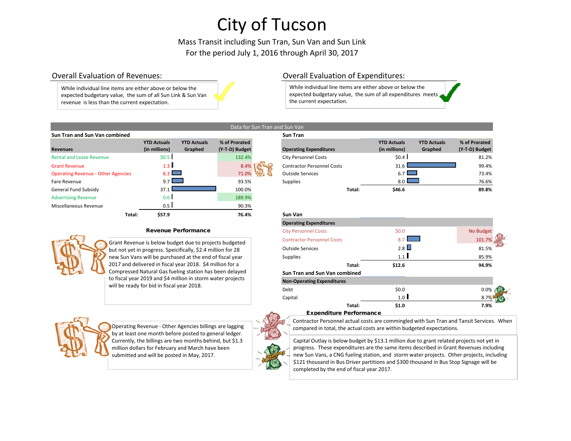Mass Transit including Sun Tran, Sun Van and Sun Link For the period July 1, 2016 through April 30, 2017

an and Sun Van

While individual line items are either above or below the expected budgetary value, the sum of all Sun Link & Sun Van revenue is less than the current expectation.

## Overall Evaluation of Revenues: Overall Evaluation of Expenditures:

While individual line items are either above or below the expected budgetary value, the sum of all expenditures meets the current expectation.

|                                           |                                     |                               |                                 | Data for Sun Tran and Sun Van |                   |
|-------------------------------------------|-------------------------------------|-------------------------------|---------------------------------|-------------------------------|-------------------|
| Sun Tran and Sun Van combined             |                                     |                               |                                 |                               | <b>Sun Tran</b>   |
| <b>Revenues</b>                           | <b>YTD Actuals</b><br>(in millions) | <b>YTD Actuals</b><br>Graphed | % of Prorated<br>(Y-T-D) Budget |                               | Operating         |
| <b>Rental and Lease Revenue</b>           | \$0.5                               |                               | 132.4%                          |                               | <b>City Perso</b> |
| <b>Grant Revenue</b>                      | 1.3                                 |                               | 8.4%                            |                               | Contracto         |
| <b>Operating Revenue - Other Agencies</b> | 8.3                                 |                               | 71.0%                           |                               | Outside S         |
| <b>Fare Revenue</b>                       | 9.7                                 |                               | 93.5%                           |                               | Supplies          |
| General Fund Subsidy                      | 37.1                                |                               | 100.0%                          |                               |                   |
| <b>Advertising Revenue</b>                | 0.6 <sub>1</sub>                    |                               | 189.9%                          |                               |                   |
| Miscellaneous Revenue                     | 0.5                                 |                               | 90.3%                           |                               |                   |
| Total:                                    | \$57.9                              |                               | 76.4%                           |                               | Sun Van           |
|                                           |                                     |                               |                                 |                               |                   |

## Revenue Performance



Grant Revenue is below budget due to projects budgeted but not yet in progress. Speicifically, \$2.4 million for 28 new Sun Vans will be purchased at the end of fiscal year 2017 and delivered in fiscal year 2018. \$4 million for a Compressed Natural Gas fueling station has been delayed to fiscal year 2019 and \$4 million in storm water projects will be ready for bid in fiscal year 2018.



Operating Revenue - Other Agencies billings are lagging by at least one month before posted to general ledger. Currently, the billings are two months behind, but \$1.3 million dollars for February and March have been submitted and will be posted in May, 2017.

| Sun Tran and Sun Van Combined             |                    |                    |                | sun ıran                          |        |                    |                    |                |
|-------------------------------------------|--------------------|--------------------|----------------|-----------------------------------|--------|--------------------|--------------------|----------------|
|                                           | <b>YTD Actuals</b> | <b>YTD Actuals</b> | % of Prorated  |                                   |        | <b>YTD Actuals</b> | <b>YTD Actuals</b> | % of Prorated  |
| <b>Revenues</b>                           | (in millions)      | Graphed            | (Y-T-D) Budget | <b>Operating Expenditures</b>     |        | (in millions)      | Graphed            | (Y-T-D) Budget |
| <b>Rental and Lease Revenue</b>           | \$0.5              |                    | 132.4%         | <b>City Personnel Costs</b>       |        | \$0.4              |                    | 81.2%          |
| <b>Grant Revenue</b>                      | 1.3 I              |                    | 8.4%           | <b>Contractor Personnel Costs</b> |        | 31.6               |                    | 99.4%          |
| <b>Operating Revenue - Other Agencies</b> | 83                 |                    | 71.0%          | <b>Outside Services</b>           |        | $6.7$ $\Box$       |                    | 73.4%          |
| Fare Revenue                              | 971                |                    | 93.5%          | <b>Supplies</b>                   |        | 8.0 L              |                    | 76.6%          |
| General Fund Subsidv                      | 37.1               |                    | 100.0%         |                                   | Total: | \$46.6             |                    | 89.8%          |
|                                           |                    |                    |                |                                   |        |                    |                    |                |



### Expenditure Performance

Contractor Personnel actual costs are commingled with Sun Tran and Tansit Services. When compared in total, the actual costs are within budgeted expectations.

Capital Outlay is below budget by \$13.1 million due to grant related projects not yet in progress. These expenditures are the same items described in Grant Revenues including new Sun Vans, a CNG fueling station, and storm water projects. Other projects, including \$121 thousand in Bus Driver partitions and \$300 thousand in Bus Stop Signage will be completed by the end of fiscal year 2017.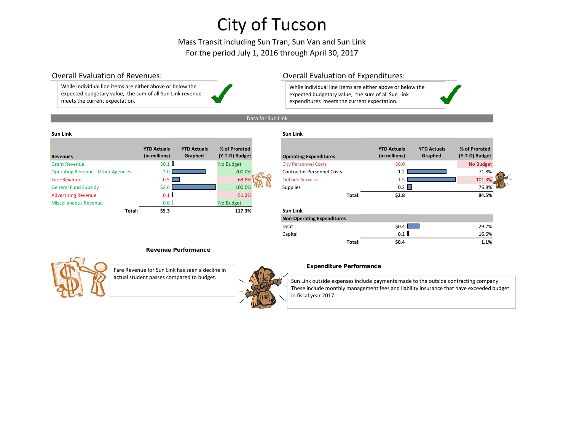## Mass Transit including Sun Tran, Sun Van and Sun Link For the period July 1, 2016 through April 30, 2017

While individual line items are either above or below the expected budgetary value, the sum of all Sun Link revenue meets the current expectation.

## Overall Evaluation of Revenues: Overall Evaluation of Expenditures:

While individual line items are either above or below the expected budgetary value, the sum of all Sun Link expenditures meets the current expectation.

## Data for Sun Link

### **Sun Link Sun Link**

| <b>Revenues</b>                           | <b>YTD Actuals</b><br>(in millions) | <b>YTD Actuals</b><br>Graphed | % of Prorated<br>(Y-T-D) Budget | Operating         |
|-------------------------------------------|-------------------------------------|-------------------------------|---------------------------------|-------------------|
| <b>Grant Revenue</b>                      | \$0.1                               |                               | No Budget                       | <b>City Perso</b> |
| <b>Operating Revenue - Other Agencies</b> | 2.0                                 |                               | 200.0%                          | Contracto         |
| <b>Fare Revenue</b>                       | 0.5                                 |                               | 63.8%                           | <b>Outside S</b>  |
| <b>General Fund Subsidy</b>               | \$2.6                               |                               | 100.0%                          | Supplies          |
| <b>Advertising Revenue</b>                | 0.1                                 |                               | 51.2%                           |                   |
| Miscellaneous Revenue                     | 0.0                                 |                               | No Budget                       |                   |
| Total:                                    | \$5.3                               |                               | 117.3%                          | <b>Sun Link</b>   |

| <b>Revenues</b>                           | <b>YTD Actuals</b><br>(in millions) | <b>YTD Actuals</b><br>Graphed | % of Prorated<br>(Y-T-D) Budget | <b>Operating Expenditures</b>     |        | <b>YTD Actuals</b><br>(in millions) | <b>YTD Actuals</b><br>Graphed | % of Prorated<br>(Y-T-D) Budget |
|-------------------------------------------|-------------------------------------|-------------------------------|---------------------------------|-----------------------------------|--------|-------------------------------------|-------------------------------|---------------------------------|
| <b>Grant Revenue</b>                      | \$0.1                               |                               | No Budget                       | <b>City Personnel Costs</b>       |        | \$0.0\$                             |                               | No Budget                       |
| <b>Operating Revenue - Other Agencies</b> | 2.0                                 |                               | 200.0%                          | <b>Contractor Personnel Costs</b> |        | 1.2                                 |                               | 71.8%                           |
| <b>Fare Revenue</b>                       | $0.5$ $\Box$                        |                               | 63.8%                           | <b>Outside Services</b>           |        |                                     |                               | 101.3%                          |
| <b>General Fund Subsidy</b>               | \$2.6                               |                               | 100.0%                          | <b>Supplies</b>                   |        | 0.2                                 |                               | 76.8%                           |
| <b>Advertising Revenue</b>                | 0.1                                 |                               | 51.2%                           |                                   | Total: | \$2.8                               |                               | 84.5%                           |
| <b>Miscellaneous Revenue</b>              | 0.0                                 |                               | No Budget                       |                                   |        |                                     |                               |                                 |
| Total:                                    | \$5.3\$                             |                               | 117.3%                          | <b>Sun Link</b>                   |        |                                     |                               |                                 |
|                                           |                                     |                               |                                 | <b>Non-Operating Expenditures</b> |        |                                     |                               |                                 |
|                                           |                                     |                               |                                 | Debt                              |        | \$0.4                               |                               | 29.7%                           |
|                                           |                                     |                               |                                 | Capital                           |        | 0.1                                 |                               | 16.6%                           |
|                                           |                                     |                               |                                 |                                   | Total: | \$0.4\$                             |                               | 1.1%                            |

## Revenue Performance



Fare Revenue for Sun Link has seen a decline in actual student passes compared to budget.



### Expenditure Performance

Sun Link outside expenses include payments made to the outside contracting company. These include monthly management fees and liability insurance that have exceeded budget in fiscal year 2017.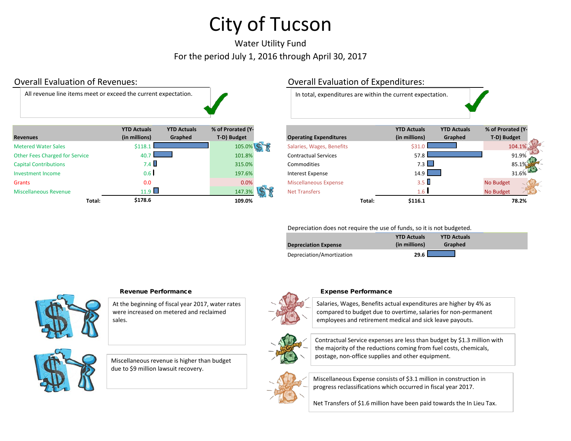# Water Utility Fund For the period July 1, 2016 through April 30, 2017

## Overall Evaluation of Revenues: Overall Evaluation of Expenditures: **Revenues YTD Actuals (in millions) YTD Actuals Graphed % of Prorated (Y-**Metered Water Sales \$118.1 105.0% Salaries, Wages, Benefits \$31.0 \$31.0 104.1 Other Fees Charged for Service **40.7** 40.7 101.8% Contractual Services 57.8 57.8 91.9% Specific Service 57.8 91.9% Capital Contributions 65.1% Commodities 7.3 315.0% Commodities 7.3 315.0% Commodities 7.3 85.1% Commodities 7.3 85.1% Investment Income **197.6%** Interest Expense 14.9 **197.6%** Interest Expense 14.9 **14.9** 31.6% Grants 0.0 0.0% Miscellaneous Expense 3.5 No Budget Miscellaneous Revenue **11.9 147.3% Net Transfers** 1.6 No Budget No Budget All revenue line items meet or exceed the current expectation. In total, expenditures are within the current expectation.



## Depreciation does not require the use of funds, so it is not budgeted.

|                             | <b>YTD Actuals</b> | <b>YTD Actuals</b> |  |
|-----------------------------|--------------------|--------------------|--|
| <b>Depreciation Expense</b> | (in millions)      | Graphed            |  |
| Depreciation/Amortization   | 29.6               |                    |  |



## Revenue Performance **Expense Performance** Expense Performance

At the beginning of fiscal year 2017, water rates were increased on metered and reclaimed sales.

Miscellaneous revenue is higher than budget due to \$9 million lawsuit recovery.



Salaries, Wages, Benefits actual expenditures are higher by 4% as compared to budget due to overtime, salaries for non-permanent employees and retirement medical and sick leave payouts.



Contractual Service expenses are less than budget by \$1.3 million with the majority of the reductions coming from fuel costs, chemicals, postage, non-office supplies and other equipment.



Miscellaneous Expense consists of \$3.1 million in construction in progress reclassifications which occurred in fiscal year 2017.

Net Transfers of \$1.6 million have been paid towards the In Lieu Tax.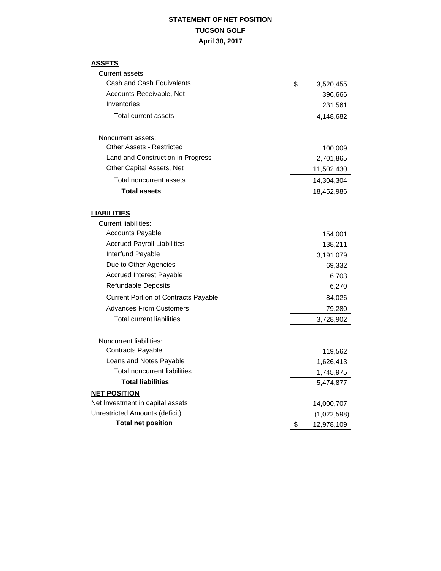## **STATEMENT OF NET POSITION TUCSON GOLF April 30, 2017**

 **,** 

## **ASSETS**

| Current assets:                             |                  |
|---------------------------------------------|------------------|
| Cash and Cash Equivalents                   | \$<br>3,520,455  |
| Accounts Receivable, Net                    | 396,666          |
| Inventories                                 | 231,561          |
| Total current assets                        | 4,148,682        |
| Noncurrent assets:                          |                  |
| Other Assets - Restricted                   | 100,009          |
| Land and Construction in Progress           | 2,701,865        |
| Other Capital Assets, Net                   | 11,502,430       |
| Total noncurrent assets                     | 14,304,304       |
| <b>Total assets</b>                         | 18,452,986       |
| <b>LIABILITIES</b>                          |                  |
| <b>Current liabilities:</b>                 |                  |
| <b>Accounts Payable</b>                     | 154,001          |
| <b>Accrued Payroll Liabilities</b>          | 138,211          |
| Interfund Payable                           | 3,191,079        |
| Due to Other Agencies                       | 69,332           |
| <b>Accrued Interest Payable</b>             | 6,703            |
| <b>Refundable Deposits</b>                  | 6,270            |
| <b>Current Portion of Contracts Payable</b> | 84,026           |
| <b>Advances From Customers</b>              | 79,280           |
| <b>Total current liabilities</b>            | 3,728,902        |
| Noncurrent liabilities:                     |                  |
| <b>Contracts Payable</b>                    | 119,562          |
| Loans and Notes Payable                     | 1,626,413        |
| <b>Total noncurrent liabilities</b>         | 1,745,975        |
| <b>Total liabilities</b>                    | 5,474,877        |
| <b>NET POSITION</b>                         |                  |
| Net Investment in capital assets            | 14,000,707       |
| Unrestricted Amounts (deficit)              | (1,022,598)      |
| <b>Total net position</b>                   | \$<br>12,978,109 |